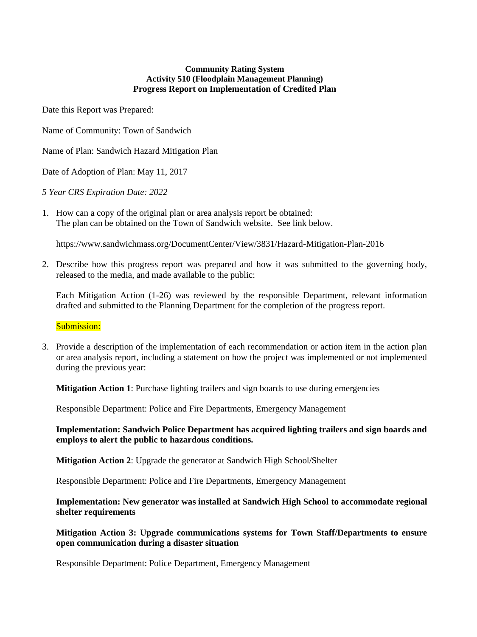## **Community Rating System Activity 510 (Floodplain Management Planning) Progress Report on Implementation of Credited Plan**

Date this Report was Prepared:

Name of Community: Town of Sandwich

Name of Plan: Sandwich Hazard Mitigation Plan

Date of Adoption of Plan: May 11, 2017

*5 Year CRS Expiration Date: 2022*

1. How can a copy of the original plan or area analysis report be obtained: The plan can be obtained on the Town of Sandwich website. See link below.

https://www.sandwichmass.org/DocumentCenter/View/3831/Hazard-Mitigation-Plan-2016

2. Describe how this progress report was prepared and how it was submitted to the governing body, released to the media, and made available to the public:

Each Mitigation Action (1-26) was reviewed by the responsible Department, relevant information drafted and submitted to the Planning Department for the completion of the progress report.

Submission:

3. Provide a description of the implementation of each recommendation or action item in the action plan or area analysis report, including a statement on how the project was implemented or not implemented during the previous year:

**Mitigation Action 1**: Purchase lighting trailers and sign boards to use during emergencies

Responsible Department: Police and Fire Departments, Emergency Management

**Implementation: Sandwich Police Department has acquired lighting trailers and sign boards and employs to alert the public to hazardous conditions.**

**Mitigation Action 2**: Upgrade the generator at Sandwich High School/Shelter

Responsible Department: Police and Fire Departments, Emergency Management

**Implementation: New generator was installed at Sandwich High School to accommodate regional shelter requirements**

**Mitigation Action 3: Upgrade communications systems for Town Staff/Departments to ensure open communication during a disaster situation**

Responsible Department: Police Department, Emergency Management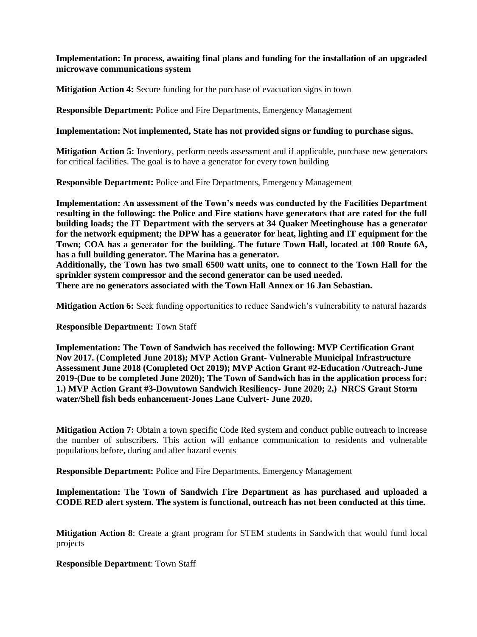# **Implementation: In process, awaiting final plans and funding for the installation of an upgraded microwave communications system**

**Mitigation Action 4:** Secure funding for the purchase of evacuation signs in town

**Responsible Department:** Police and Fire Departments, Emergency Management

**Implementation: Not implemented, State has not provided signs or funding to purchase signs.**

**Mitigation Action 5:** Inventory, perform needs assessment and if applicable, purchase new generators for critical facilities. The goal is to have a generator for every town building

**Responsible Department:** Police and Fire Departments, Emergency Management

**Implementation: An assessment of the Town's needs was conducted by the Facilities Department resulting in the following: the Police and Fire stations have generators that are rated for the full building loads; the IT Department with the servers at 34 Quaker Meetinghouse has a generator for the network equipment; the DPW has a generator for heat, lighting and IT equipment for the Town; COA has a generator for the building. The future Town Hall, located at 100 Route 6A, has a full building generator. The Marina has a generator.** 

**Additionally, the Town has two small 6500 watt units, one to connect to the Town Hall for the sprinkler system compressor and the second generator can be used needed.** 

**There are no generators associated with the Town Hall Annex or 16 Jan Sebastian.**

**Mitigation Action 6:** Seek funding opportunities to reduce Sandwich's vulnerability to natural hazards

**Responsible Department:** Town Staff

**Implementation: The Town of Sandwich has received the following: MVP Certification Grant Nov 2017. (Completed June 2018); MVP Action Grant- Vulnerable Municipal Infrastructure Assessment June 2018 (Completed Oct 2019); MVP Action Grant #2-Education /Outreach-June 2019-(Due to be completed June 2020); The Town of Sandwich has in the application process for: 1.) MVP Action Grant #3-Downtown Sandwich Resiliency- June 2020; 2.) NRCS Grant Storm water/Shell fish beds enhancement-Jones Lane Culvert- June 2020.**

**Mitigation Action 7:** Obtain a town specific Code Red system and conduct public outreach to increase the number of subscribers. This action will enhance communication to residents and vulnerable populations before, during and after hazard events

**Responsible Department:** Police and Fire Departments, Emergency Management

**Implementation: The Town of Sandwich Fire Department as has purchased and uploaded a CODE RED alert system. The system is functional, outreach has not been conducted at this time.**

**Mitigation Action 8**: Create a grant program for STEM students in Sandwich that would fund local projects

**Responsible Department**: Town Staff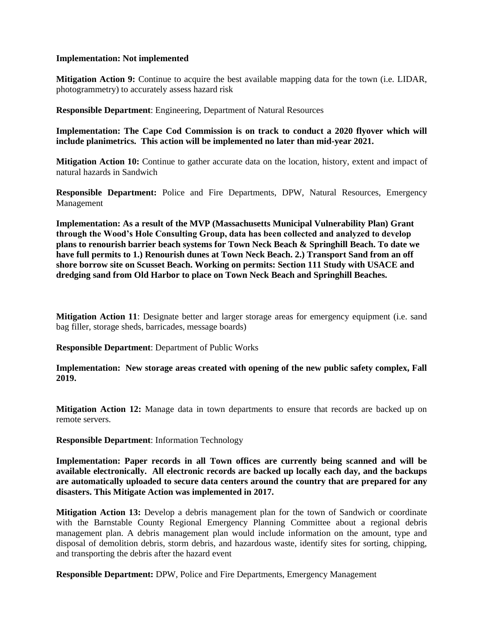## **Implementation: Not implemented**

**Mitigation Action 9:** Continue to acquire the best available mapping data for the town (i.e. LIDAR, photogrammetry) to accurately assess hazard risk

**Responsible Department**: Engineering, Department of Natural Resources

**Implementation: The Cape Cod Commission is on track to conduct a 2020 flyover which will include planimetrics. This action will be implemented no later than mid-year 2021.** 

**Mitigation Action 10:** Continue to gather accurate data on the location, history, extent and impact of natural hazards in Sandwich

**Responsible Department:** Police and Fire Departments, DPW, Natural Resources, Emergency Management

**Implementation: As a result of the MVP (Massachusetts Municipal Vulnerability Plan) Grant through the Wood's Hole Consulting Group, data has been collected and analyzed to develop plans to renourish barrier beach systems for Town Neck Beach & Springhill Beach. To date we have full permits to 1.) Renourish dunes at Town Neck Beach. 2.) Transport Sand from an off shore borrow site on Scusset Beach. Working on permits: Section 111 Study with USACE and dredging sand from Old Harbor to place on Town Neck Beach and Springhill Beaches.** 

**Mitigation Action 11**: Designate better and larger storage areas for emergency equipment (i.e. sand bag filler, storage sheds, barricades, message boards)

**Responsible Department**: Department of Public Works

**Implementation: New storage areas created with opening of the new public safety complex, Fall 2019.**

**Mitigation Action 12:** Manage data in town departments to ensure that records are backed up on remote servers.

**Responsible Department**: Information Technology

**Implementation: Paper records in all Town offices are currently being scanned and will be available electronically. All electronic records are backed up locally each day, and the backups are automatically uploaded to secure data centers around the country that are prepared for any disasters. This Mitigate Action was implemented in 2017.**

**Mitigation Action 13:** Develop a debris management plan for the town of Sandwich or coordinate with the Barnstable County Regional Emergency Planning Committee about a regional debris management plan. A debris management plan would include information on the amount, type and disposal of demolition debris, storm debris, and hazardous waste, identify sites for sorting, chipping, and transporting the debris after the hazard event

**Responsible Department:** DPW, Police and Fire Departments, Emergency Management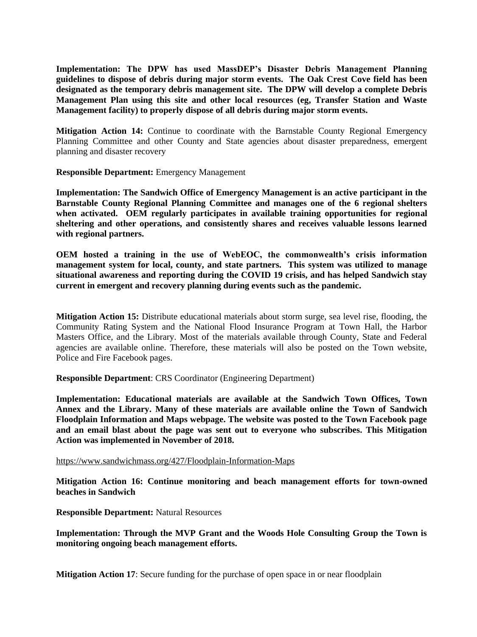**Implementation: The DPW has used MassDEP's Disaster Debris Management Planning guidelines to dispose of debris during major storm events. The Oak Crest Cove field has been designated as the temporary debris management site. The DPW will develop a complete Debris Management Plan using this site and other local resources (eg, Transfer Station and Waste Management facility) to properly dispose of all debris during major storm events.**

**Mitigation Action 14:** Continue to coordinate with the Barnstable County Regional Emergency Planning Committee and other County and State agencies about disaster preparedness, emergent planning and disaster recovery

**Responsible Department:** Emergency Management

**Implementation: The Sandwich Office of Emergency Management is an active participant in the Barnstable County Regional Planning Committee and manages one of the 6 regional shelters when activated. OEM regularly participates in available training opportunities for regional sheltering and other operations, and consistently shares and receives valuable lessons learned with regional partners.**

**OEM hosted a training in the use of WebEOC, the commonwealth's crisis information management system for local, county, and state partners. This system was utilized to manage situational awareness and reporting during the COVID 19 crisis, and has helped Sandwich stay current in emergent and recovery planning during events such as the pandemic.**

**Mitigation Action 15:** Distribute educational materials about storm surge, sea level rise, flooding, the Community Rating System and the National Flood Insurance Program at Town Hall, the Harbor Masters Office, and the Library. Most of the materials available through County, State and Federal agencies are available online. Therefore, these materials will also be posted on the Town website, Police and Fire Facebook pages.

**Responsible Department**: CRS Coordinator (Engineering Department)

**Implementation: Educational materials are available at the Sandwich Town Offices, Town Annex and the Library. Many of these materials are available online the Town of Sandwich Floodplain Information and Maps webpage. The website was posted to the Town Facebook page and an email blast about the page was sent out to everyone who subscribes. This Mitigation Action was implemented in November of 2018.** 

<https://www.sandwichmass.org/427/Floodplain-Information-Maps>

**Mitigation Action 16: Continue monitoring and beach management efforts for town-owned beaches in Sandwich**

**Responsible Department:** Natural Resources

**Implementation: Through the MVP Grant and the Woods Hole Consulting Group the Town is monitoring ongoing beach management efforts.**

**Mitigation Action 17**: Secure funding for the purchase of open space in or near floodplain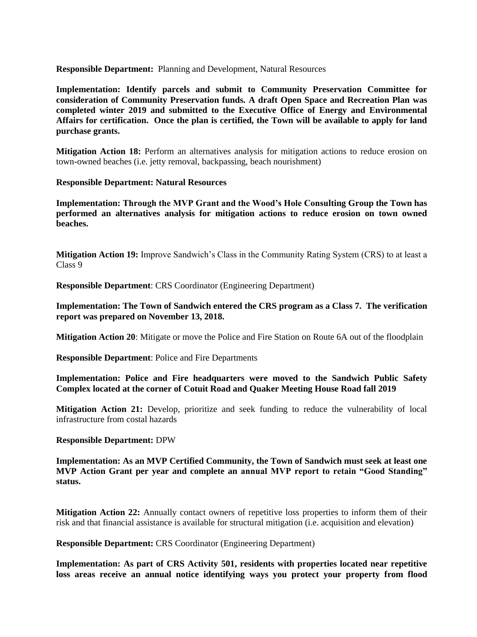**Responsible Department:** Planning and Development, Natural Resources

**Implementation: Identify parcels and submit to Community Preservation Committee for consideration of Community Preservation funds. A draft Open Space and Recreation Plan was completed winter 2019 and submitted to the Executive Office of Energy and Environmental Affairs for certification. Once the plan is certified, the Town will be available to apply for land purchase grants.**

**Mitigation Action 18:** Perform an alternatives analysis for mitigation actions to reduce erosion on town-owned beaches (i.e. jetty removal, backpassing, beach nourishment)

**Responsible Department: Natural Resources**

**Implementation: Through the MVP Grant and the Wood's Hole Consulting Group the Town has performed an alternatives analysis for mitigation actions to reduce erosion on town owned beaches.**

**Mitigation Action 19:** Improve Sandwich's Class in the Community Rating System (CRS) to at least a Class 9

**Responsible Department**: CRS Coordinator (Engineering Department)

**Implementation: The Town of Sandwich entered the CRS program as a Class 7. The verification report was prepared on November 13, 2018.** 

**Mitigation Action 20**: Mitigate or move the Police and Fire Station on Route 6A out of the floodplain

**Responsible Department**: Police and Fire Departments

**Implementation: Police and Fire headquarters were moved to the Sandwich Public Safety Complex located at the corner of Cotuit Road and Quaker Meeting House Road fall 2019**

**Mitigation Action 21:** Develop, prioritize and seek funding to reduce the vulnerability of local infrastructure from costal hazards

#### **Responsible Department:** DPW

**Implementation: As an MVP Certified Community, the Town of Sandwich must seek at least one MVP Action Grant per year and complete an annual MVP report to retain "Good Standing" status.**

**Mitigation Action 22:** Annually contact owners of repetitive loss properties to inform them of their risk and that financial assistance is available for structural mitigation (i.e. acquisition and elevation)

**Responsible Department:** CRS Coordinator (Engineering Department)

**Implementation: As part of CRS Activity 501, residents with properties located near repetitive loss areas receive an annual notice identifying ways you protect your property from flood**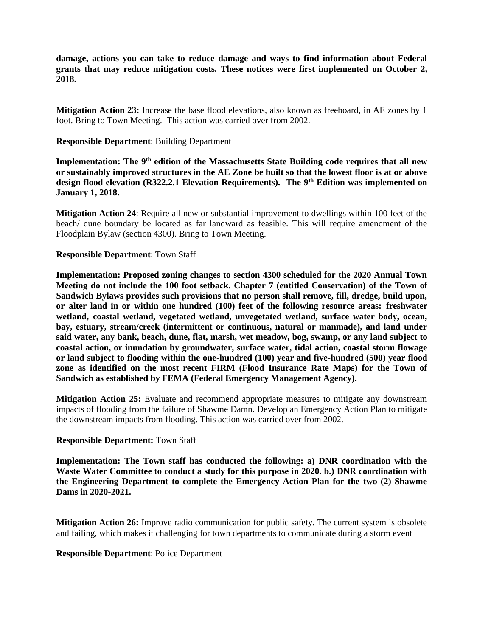**damage, actions you can take to reduce damage and ways to find information about Federal grants that may reduce mitigation costs. These notices were first implemented on October 2, 2018.** 

**Mitigation Action 23:** Increase the base flood elevations, also known as freeboard, in AE zones by 1 foot. Bring to Town Meeting. This action was carried over from 2002.

## **Responsible Department**: Building Department

**Implementation: The 9th edition of the Massachusetts State Building code requires that all new or sustainably improved structures in the AE Zone be built so that the lowest floor is at or above design flood elevation (R322.2.1 Elevation Requirements). The 9th Edition was implemented on January 1, 2018.** 

**Mitigation Action 24**: Require all new or substantial improvement to dwellings within 100 feet of the beach/ dune boundary be located as far landward as feasible. This will require amendment of the Floodplain Bylaw (section 4300). Bring to Town Meeting.

## **Responsible Department**: Town Staff

**Implementation: Proposed zoning changes to section 4300 scheduled for the 2020 Annual Town Meeting do not include the 100 foot setback. Chapter 7 (entitled Conservation) of the Town of Sandwich Bylaws provides such provisions that no person shall remove, fill, dredge, build upon, or alter land in or within one hundred (100) feet of the following resource areas: freshwater wetland, coastal wetland, vegetated wetland, unvegetated wetland, surface water body, ocean, bay, estuary, stream/creek (intermittent or continuous, natural or manmade), and land under said water, any bank, beach, dune, flat, marsh, wet meadow, bog, swamp, or any land subject to coastal action, or inundation by groundwater, surface water, tidal action, coastal storm flowage or land subject to flooding within the one-hundred (100) year and five-hundred (500) year flood zone as identified on the most recent FIRM (Flood Insurance Rate Maps) for the Town of Sandwich as established by FEMA (Federal Emergency Management Agency).**

**Mitigation Action 25:** Evaluate and recommend appropriate measures to mitigate any downstream impacts of flooding from the failure of Shawme Damn. Develop an Emergency Action Plan to mitigate the downstream impacts from flooding. This action was carried over from 2002.

#### **Responsible Department:** Town Staff

**Implementation: The Town staff has conducted the following: a) DNR coordination with the Waste Water Committee to conduct a study for this purpose in 2020. b.) DNR coordination with the Engineering Department to complete the Emergency Action Plan for the two (2) Shawme Dams in 2020-2021.**

**Mitigation Action 26:** Improve radio communication for public safety. The current system is obsolete and failing, which makes it challenging for town departments to communicate during a storm event

#### **Responsible Department**: Police Department